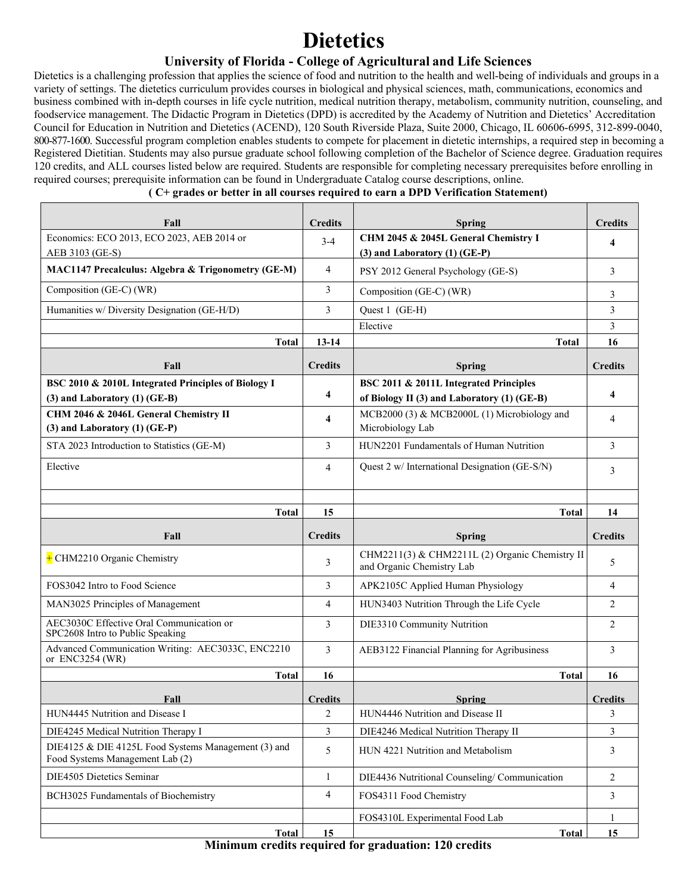## **Dietetics**

## **University of Florida - College of Agricultural and Life Sciences**

Dietetics is a challenging profession that applies the science of food and nutrition to the health and well-being of individuals and groups in a variety of settings. The dietetics curriculum provides courses in biological and physical sciences, math, communications, economics and business combined with in-depth courses in life cycle nutrition, medical nutrition therapy, metabolism, community nutrition, counseling, and foodservice management. The Didactic Program in Dietetics (DPD) is accredited by the Academy of Nutrition and Dietetics' Accreditation Council for Education in Nutrition and Dietetics (ACEND), 120 South Riverside Plaza, Suite 2000, Chicago, IL 60606-6995, 312-899-0040, 800-877-1600. Successful program completion enables students to compete for placement in dietetic internships, a required step in becoming a Registered Dietitian. Students may also pursue graduate school following completion of the Bachelor of Science degree. Graduation requires 120 credits, and ALL courses listed below are required. Students are responsible for completing necessary prerequisites before enrolling in required courses; prerequisite information can be found in Undergraduate Catalog course descriptions, online.

#### **( C+ grades or better in all courses required to earn a DPD Verification Statement)**

| Fall                                                                                     | <b>Credits</b> | Spring                                                                                | <b>Credits</b> |
|------------------------------------------------------------------------------------------|----------------|---------------------------------------------------------------------------------------|----------------|
| Economics: ECO 2013, ECO 2023, AEB 2014 or<br>AEB 3103 (GE-S)                            | $3-4$          | CHM 2045 & 2045L General Chemistry I<br>(3) and Laboratory (1) (GE-P)                 | 4              |
| MAC1147 Precalculus: Algebra & Trigonometry (GE-M)                                       | 4              | PSY 2012 General Psychology (GE-S)                                                    | 3              |
| Composition (GE-C) (WR)                                                                  | 3              | Composition (GE-C) (WR)                                                               | 3              |
| Humanities w/ Diversity Designation (GE-H/D)                                             | 3              | Quest 1 (GE-H)                                                                        | 3              |
|                                                                                          |                | Elective                                                                              | 3              |
| <b>Total</b>                                                                             | $13 - 14$      | Total                                                                                 | 16             |
| Fall                                                                                     | <b>Credits</b> | <b>Spring</b>                                                                         | <b>Credits</b> |
| BSC 2010 & 2010L Integrated Principles of Biology I<br>$(3)$ and Laboratory $(1)$ (GE-B) | 4              | BSC 2011 & 2011L Integrated Principles<br>of Biology II (3) and Laboratory (1) (GE-B) | 4              |
| CHM 2046 & 2046L General Chemistry II<br>(3) and Laboratory (1) (GE-P)                   | 4              | MCB2000 (3) & MCB2000L (1) Microbiology and<br>Microbiology Lab                       | 4              |
| STA 2023 Introduction to Statistics (GE-M)                                               | 3              | HUN2201 Fundamentals of Human Nutrition                                               | 3              |
| Elective                                                                                 | 4              | Quest 2 w/ International Designation (GE-S/N)                                         | 3              |
|                                                                                          |                |                                                                                       |                |
| <b>Total</b>                                                                             | 15             | <b>Total</b>                                                                          | 14             |
|                                                                                          |                |                                                                                       |                |
| Fall                                                                                     | <b>Credits</b> | <b>Spring</b>                                                                         | <b>Credits</b> |
| $+$ CHM2210 Organic Chemistry                                                            | 3              | CHM2211(3) & CHM2211L (2) Organic Chemistry II<br>and Organic Chemistry Lab           | 5              |
| FOS3042 Intro to Food Science                                                            | 3              | APK2105C Applied Human Physiology                                                     | $\overline{4}$ |
| MAN3025 Principles of Management                                                         | 4              | HUN3403 Nutrition Through the Life Cycle                                              | $\overline{c}$ |
| AEC3030C Effective Oral Communication or<br>SPC2608 Intro to Public Speaking             | 3              | DIE3310 Community Nutrition                                                           | $\overline{2}$ |
| Advanced Communication Writing: AEC3033C, ENC2210<br>or ENC3254 (WR)                     | 3              | AEB3122 Financial Planning for Agribusiness                                           | 3              |
| <b>Total</b>                                                                             | 16             | <b>Total</b>                                                                          | 16             |
| Fall                                                                                     | <b>Credits</b> | <b>Spring</b>                                                                         | <b>Credits</b> |
| HUN4445 Nutrition and Disease I                                                          | 2              | HUN4446 Nutrition and Disease II                                                      | 3              |
| DIE4245 Medical Nutrition Therapy I                                                      | 3              | DIE4246 Medical Nutrition Therapy II                                                  | 3              |
| DIE4125 & DIE 4125L Food Systems Management (3) and<br>Food Systems Management Lab (2)   | 5              | HUN 4221 Nutrition and Metabolism                                                     | 3              |
| DIE4505 Dietetics Seminar                                                                | $\mathbf{1}$   | DIE4436 Nutritional Counseling/Communication                                          | $\overline{2}$ |
| BCH3025 Fundamentals of Biochemistry                                                     | 4              | FOS4311 Food Chemistry                                                                | 3              |
|                                                                                          |                | FOS4310L Experimental Food Lab                                                        | 1<br>15        |

**Minimum credits required for graduation: 120 credits**